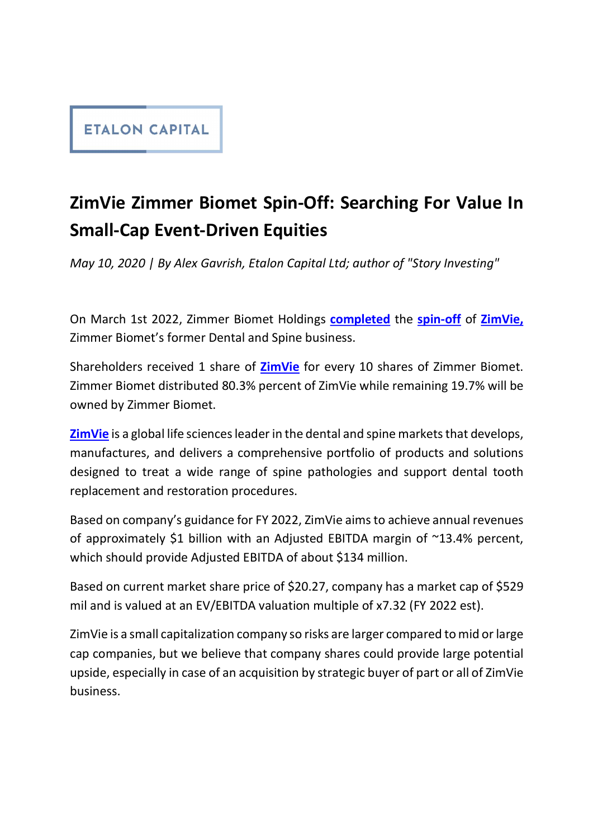## **ETALON CAPITAL**

## ZimVie Zimmer Biomet Spin-Off: Searching For Value In Small-Cap Event-Driven Equities

May 10, 2020 | By Alex Gavrish, Etalon Capital Ltd; author of "Story Investing"<br>On March 1st 2022, Zimmer Biomet Holdings **completed** the spin-off of ZimVie, Zimmer Biomet's former Dental and Spine business.

Shareholders received 1 share of **ZimVie** for every 10 shares of Zimmer Biomet. Zimmer Biomet distributed 80.3% percent of ZimVie while remaining 19.7% will be owned by Zimmer Biomet.

**ZimVie** is a global life sciences leader in the dental and spine markets that develops, manufactures, and delivers a comprehensive portfolio of products and solutions designed to treat a wide range of spine pathologies and support dental tooth replacement and restoration procedures.

Based on company's guidance for FY 2022, ZimVie aims to achieve annual revenues of approximately \$1 billion with an Adjusted EBITDA margin of ~13.4% percent, which should provide Adjusted EBITDA of about \$134 million.

Based on current market share price of \$20.27, company has a market cap of \$529 mil and is valued at an EV/EBITDA valuation multiple of x7.32 (FY 2022 est).

ZimVie is a small capitalization company so risks are larger compared to mid or large cap companies, but we believe that company shares could provide large potential upside, especially in case of an acquisition by strategic buyer of part or all of ZimVie business.